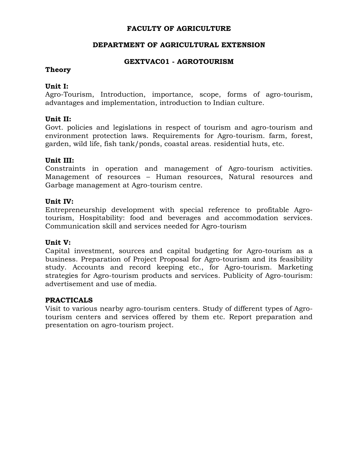# **FACULTY OF AGRICULTURE**

## **DEPARTMENT OF AGRICULTURAL EXTENSION**

## **GEXTVAC01 - AGROTOURISM**

## **Theory**

# **Unit I:**

Agro-Tourism, Introduction, importance, scope, forms of agro-tourism, advantages and implementation, introduction to Indian culture.

## **Unit II:**

Govt. policies and legislations in respect of tourism and agro-tourism and environment protection laws. Requirements for Agro-tourism. farm, forest, garden, wild life, fish tank/ponds, coastal areas. residential huts, etc.

## **Unit III:**

Constraints in operation and management of Agro-tourism activities. Management of resources – Human resources, Natural resources and Garbage management at Agro-tourism centre.

#### **Unit IV:**

Entrepreneurship development with special reference to profitable Agrotourism, Hospitability: food and beverages and accommodation services. Communication skill and services needed for Agro-tourism

#### **Unit V:**

Capital investment, sources and capital budgeting for Agro-tourism as a business. Preparation of Project Proposal for Agro-tourism and its feasibility study. Accounts and record keeping etc., for Agro-tourism. Marketing strategies for Agro-tourism products and services. Publicity of Agro-tourism: advertisement and use of media.

#### **PRACTICALS**

Visit to various nearby agro-tourism centers. Study of different types of Agrotourism centers and services offered by them etc. Report preparation and presentation on agro-tourism project.